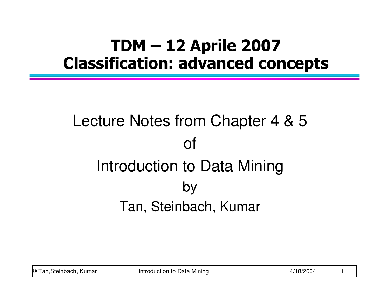#### TDM – 12 Aprile <sup>2007</sup> Classification: advanced concepts

# Lecture Notes from Chapter 4 & 5ofIntroduction to Data MiningbyTan, Steinbach, Kumar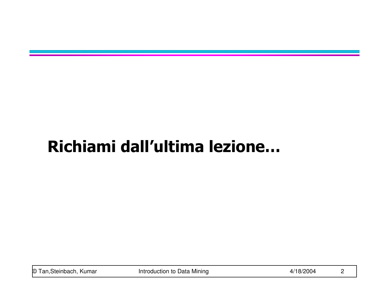## Richiami dall'ultima lezione…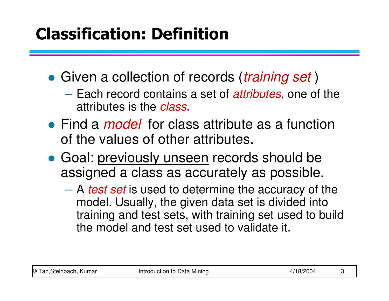## Classification: Definition

- Given a collection of records (training set)
	- Each record contains a set of *attributes*, one of the attributes is the *class*.
- Find a *model* for class attribute as a function of the values of other attributes.
- **Goal: previously unseen records should be** assigned a class as accurately as possible.
	- A test set is used to determine the accuracy of the model. Usually, the given data set is divided into training and test sets, with training set used to build the model and test set used to validate it.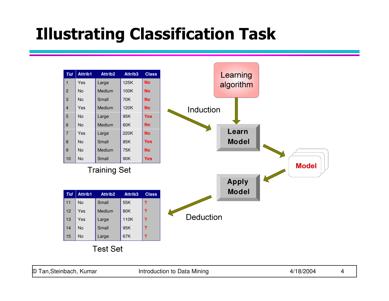## Illustrating Classification Task

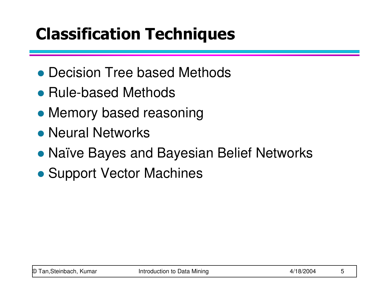# Classification Techniques

- Decision Tree based Methods
- Rule-based Methods
- Memory based reasoning
- **Neural Networks**
- Naïve Bayes and Bayesian Belief Networks
- Support Vector Machines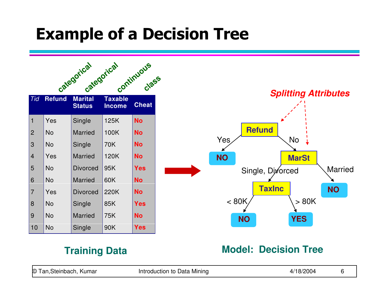#### Example of a Decision Tree

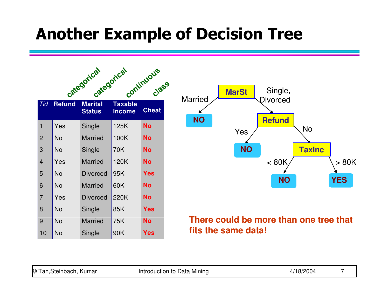#### Another Example of Decision Tree

|                |               | categorical<br>categorical      |                                 | continuous<br>Class |
|----------------|---------------|---------------------------------|---------------------------------|---------------------|
| Tid            | <b>Refund</b> | <b>Marital</b><br><b>Status</b> | <b>Taxable</b><br><b>Income</b> | <b>Cheat</b>        |
| 1              | Yes           | Single                          | 125K                            | <b>No</b>           |
| $\overline{2}$ | <b>No</b>     | <b>Married</b>                  | 100K                            | <b>No</b>           |
| 3              | <b>No</b>     | Single                          | 70K                             | <b>No</b>           |
| 4              | Yes           | <b>Married</b>                  | 120K                            | <b>No</b>           |
| 5              | <b>No</b>     | <b>Divorced</b>                 | 95K                             | Yes                 |
| 6              | No            | <b>Married</b>                  | 60K                             | <b>No</b>           |
| $\overline{7}$ | Yes           | <b>Divorced</b>                 | 220K                            | <b>No</b>           |
| 8              | <b>No</b>     | Single                          | 85K                             | Yes                 |
| 9              | <b>No</b>     | <b>Married</b>                  | 75K                             | <b>No</b>           |
| 10             | No            | Single                          | 90K                             | Yes                 |



#### **There could be more than one tree that fits the same data!**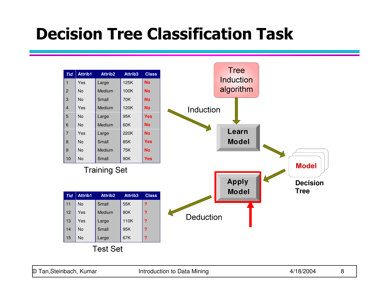#### Decision Tree Classification Task

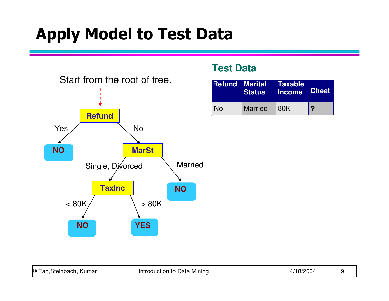

#### **Test Data**

|           | <b>Refund Marital Taxable</b><br><b>Status</b> | Income Cheat |   |
|-----------|------------------------------------------------|--------------|---|
| <b>No</b> | Married                                        | 80K          | 2 |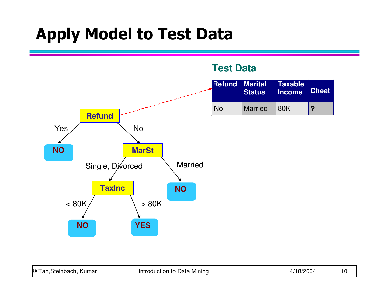

**Test Data**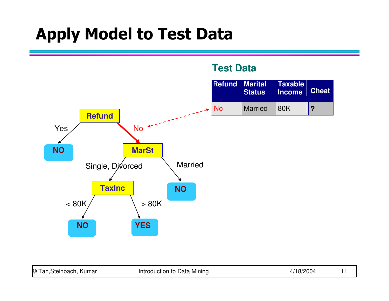

| <b>O</b> 1<br>Steinbach.<br>. Kumar<br>an | . Mining<br>ntroduction to Data |  |  |
|-------------------------------------------|---------------------------------|--|--|
|-------------------------------------------|---------------------------------|--|--|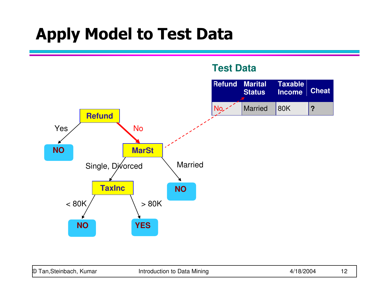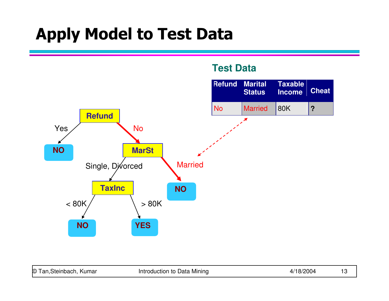

**Test Data**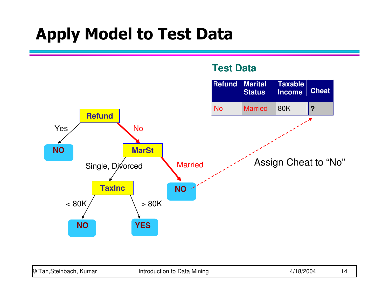

**Test Data**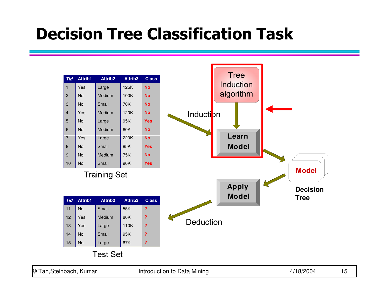#### Decision Tree Classification Task

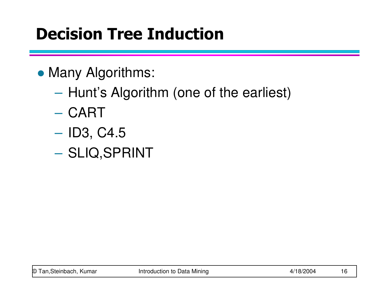# Decision Tree Induction

- Many Algorithms:
	- **Hart Committee**  $-$  Hunt's Algorithm (one of the earliest)
	- **Hart Committee** — CART
	- – $-$  ID3, C4.5
	- **Hart Committee**  $-$  SLIQ,SPRINT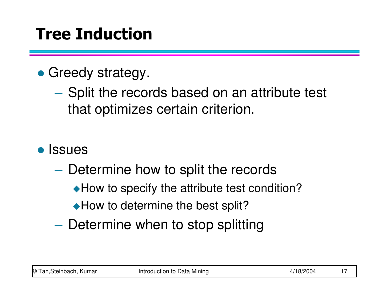# Tree Induction

## • Greedy strategy.

- **Hart Committee** - Split the records based on an attribute test that optimizes certain criterion.
- Issues
	- **Hart Committee**  $-$  Determine how to split the records
		- ◆ How to specify the attribute test condition?
		- ◆ How to determine the best split?
	- **Hart Committee**  $-$  Determine when to stop splitting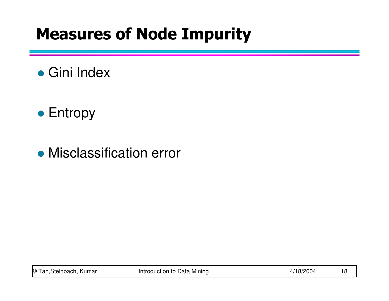## Measures of Node Impurity

# ● Gini Index

## ● Entropy

## Misclassification error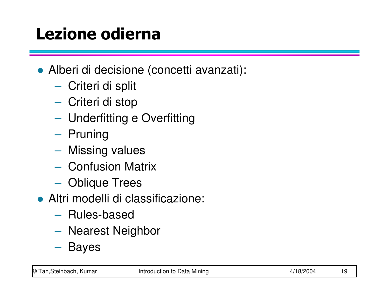# Lezione odierna

- Alberi di decisione (concetti avanzati):
	- $\mathcal{L}_{\mathcal{A}}$  $-$  Criteri di split
	- –Criteri di stop
	- $\mathcal{L}_{\mathcal{A}}$ Underfitting e Overfitting
	- $\mathcal{L}_{\mathcal{A}}$  , and the set of the set of the set of the set of the set of the set of the set of the set of the set of the set of the set of the set of the set of the set of the set of the set of the set of the set of th – Pruning
	- – $-$  Missing values
	- $\mathcal{L}_{\mathcal{A}}$  $-$  Confusion Matrix
	- $\mathcal{L}_{\mathcal{A}}$  , and the set of  $\mathcal{L}_{\mathcal{A}}$ Oblique Trees
- Altri modelli di classificazione:
	- – $-$  Rules-based
	- $\mathcal{L}_{\mathcal{A}}$ Nearest Neighbor
	- $\mathcal{L}_{\mathcal{A}}$  , and the set of  $\mathcal{L}_{\mathcal{A}}$ – Bayes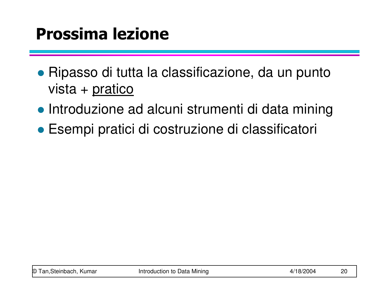## Prossima lezione

- Ripasso di tutta la classificazione, da un punto vista + pratico
- **Introduzione ad alcuni strumenti di data mining**
- Esempi pratici di costruzione di classificatori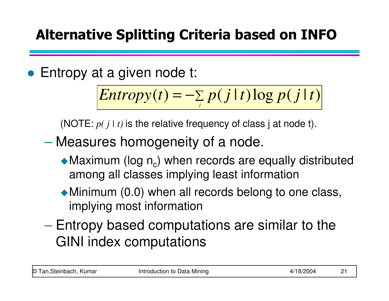#### Alternative Splitting Criteria based on INFO

● Entropy at a given node t:

$$
Entropy(t) = -\sum_{j} p(j|t) \log p(j|t)
$$

(NOTE:  $p(j | t)$  is the relative frequency of class j at node t).

- Measures homogeneity of a node.
	- $\blacklozenge$  Maximum (log n<sub>c</sub>) when records are equally distributed among all classes implying least information
	- -Minimum (0.0) when all records belong to one class, implying most information
- $\mathcal{L}_{\mathcal{A}}$ - Entropy based computations are similar to the GINI index computations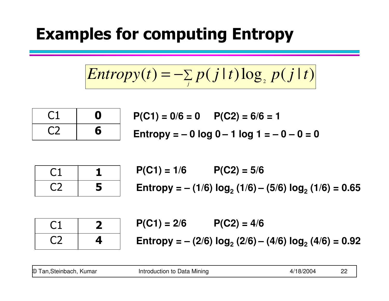#### Examples for computing Entropy

$$
Entropy(t) = -\sum_{j} p(j|t) \log_{2} p(j|t)
$$

| υ |
|---|
| 6 |

 $P(C1) = 0/6 = 0$   $P(C2) = 6/6 = 1$ **Entropy = – 0 log 0 – 1 log 1 = – 0 – 0 = 0** 

| └   |   |
|-----|---|
| - 1 | 5 |

 $P(C1) = 1/6$   $P(C2) = 5/6$ **Entropy = – (1/6) log2 (1/6) – (5/6) log 2 (1/6) = 0.65**

| 4 |
|---|

 $P(C1) = 2/6$   $P(C2) = 4/6$ **Entropy = – (2/6) log2 (2/6) – (4/6) log 2 (4/6) = 0.92**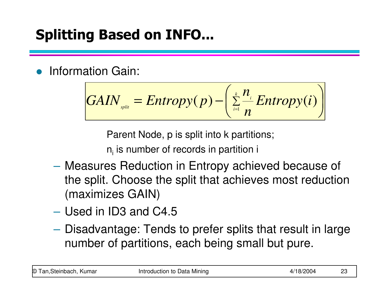#### Splitting Based on INFO...

 $\bullet$ Information Gain:

$$
GAN_{\mathit{split}} = Entropy(p) - \left(\sum_{i=1}^{k} \frac{n_i}{n} Entropy(i)\right)
$$

Parent Node, p is split into k partitions;

 $\mathsf{n}_\mathsf{i}$  is number of records in partition i

- Measures Reduction in Entropy achieved because of the split. Choose the split that achieves most reduction (maximizes GAIN)
- Used in ID3 and C4.5
- $\mathcal{L}_{\mathcal{A}}$  , and the set of  $\mathcal{L}_{\mathcal{A}}$  Disadvantage: Tends to prefer splits that result in large number of partitions, each being small but pure.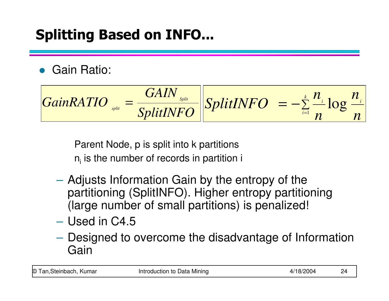#### Splitting Based on INFO...

#### **• Gain Ratio:**

$$
GainRATIO_{split} = \frac{GAN_{split}}{SplitINFO} \left| \frac{SplitINFO}{n} - \frac{L}{n} \frac{n_i}{n} \right|
$$

Parent Node, p is split into k partitions $\mathsf{n}_\mathsf{i}$  is the number of records in partition i

- Adjusts Information Gain by the entropy of the partitioning (SplitINFO). Higher entropy partitioning (large number of small partitions) is penalized!
- Used in C4.5
- –- Designed to overcome the disadvantage of Information Gain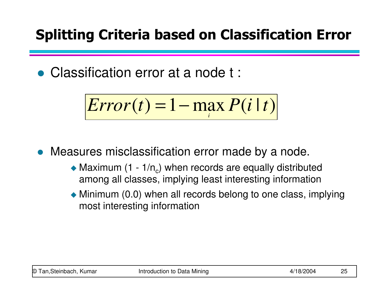#### Splitting Criteria based on Classification Error

Classification error at a node t :

$$
Error(t) = 1 - \max_i P(i \mid t)
$$

Measures misclassification error made by a node.

- $\bullet$  Maximum (1 1/n<sub>c</sub>) when records are equally distributed among all classes, implying least interesting information
- Minimum (0.0) when all records belong to one class, implying most interesting information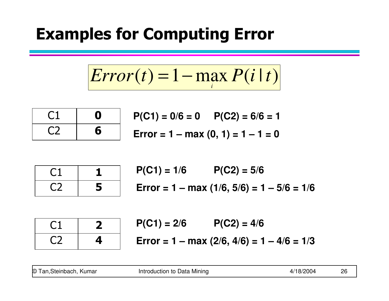#### Examples for Computing Error

$$
Error(t) = 1 - \max_i P(i \mid t)
$$

| U |
|---|
| 6 |

$$
P(C1) = 0/6 = 0 \qquad P(C2) = 6/6 = 1
$$
  
Error = 1 – max (0, 1) = 1 – 1 = 0

| $\overline{\phantom{0}}$<br>-- | ٠ |
|--------------------------------|---|
| ۰,                             | 5 |

$$
P(C1) = 1/6 \qquad P(C2) = 5/6
$$
  
Error = 1 – max (1/6, 5/6) = 1 – 5/6 = 1/6

|               | $\angle$ |
|---------------|----------|
| $\mathcal{L}$ | 4        |

$$
P(C1) = 2/6 \qquad P(C2) = 4/6
$$
  
Error = 1 – max (2/6, 4/6) = 1 – 4/6 = 1/3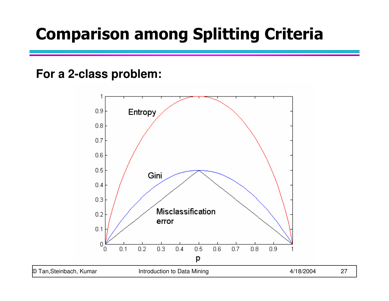#### Comparison among Splitting Criteria

#### **For a 2-class problem:**

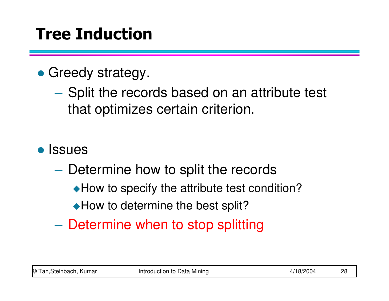# Tree Induction

## • Greedy strategy.

- **Hart Committee** - Split the records based on an attribute test that optimizes certain criterion.
- Issues
	- **Hart Committee**  $-$  Determine how to split the records
		- ◆ How to specify the attribute test condition?
		- ◆ How to determine the best split?
	- **Hart Committee**  $-$  Determine when to stop splitting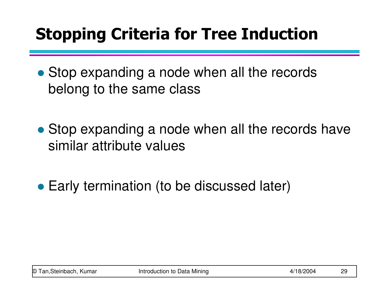# Stopping Criteria for Tree Induction

- Stop expanding a node when all the records belong to the same class
- Stop expanding a node when all the records have similar attribute values
- Early termination (to be discussed later)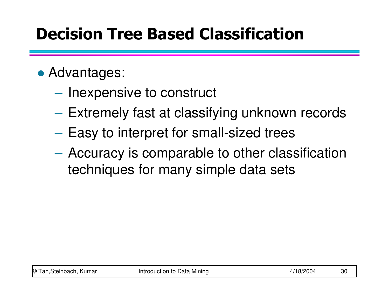## Decision Tree Based Classification

## Advantages:

- **Hart Committee**  $-$  Inexpensive to construct
- **Hart Committee**  $-$  Extremely fast at classifying unknown records
- – $-$  Easy to interpret for small-sized trees
- **Hart Committee**  Accuracy is comparable to other classification techniques for many simple data sets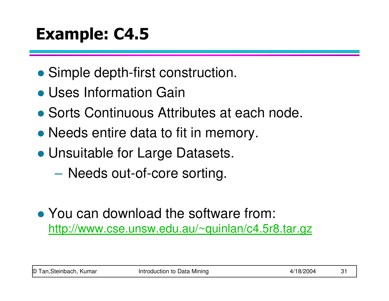# Example: C4.5

- Simple depth-first construction.
- Uses Information Gain
- Sorts Continuous Attributes at each node.
- Needs entire data to fit in memory.
- Unsuitable for Large Datasets.
	- **Hart Committee**  $-$  Needs out-of-core sorting.
- You can download the software from: http://www.cse.unsw.edu.au/~quinlan/c4.5r8.tar.gz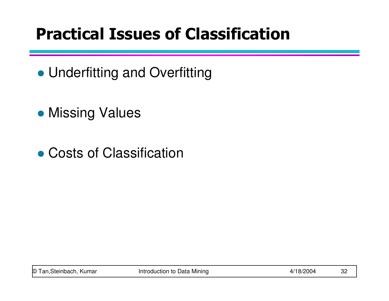## Practical Issues of Classification

- Underfitting and Overfitting
- **Missing Values**
- Costs of Classification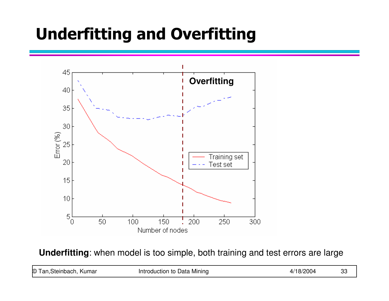## Underfitting and Overfitting



**Underfitting**: when model is too simple, both training and test errors are large

| © Tan, Steinbach, Kumar | Introduction to Data Mining | 4/18/2004 | פפ<br>ാ |
|-------------------------|-----------------------------|-----------|---------|
|-------------------------|-----------------------------|-----------|---------|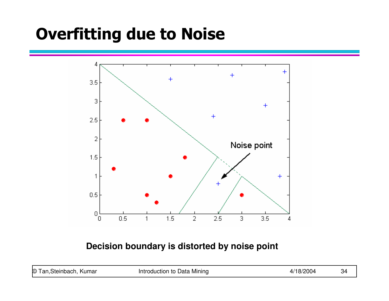## Overfitting due to Noise



#### **Decision boundary is distorted by noise point**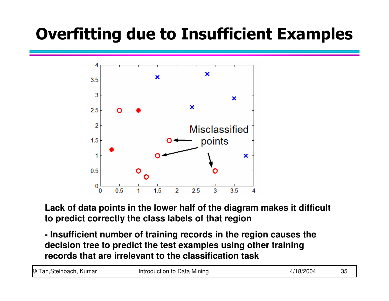#### Overfitting due to Insufficient Examples



**Lack of data points in the lower half of the diagram makes it difficult to predict correctly the class labels of that region** 

**- Insufficient number of training records in the region causes the decision tree to predict the test examples using other training records that are irrelevant to the classification task**

| © Tan, Steinbach, Kumar | Introduction to Data Mining | 4/18/2004 | 35 |
|-------------------------|-----------------------------|-----------|----|
|-------------------------|-----------------------------|-----------|----|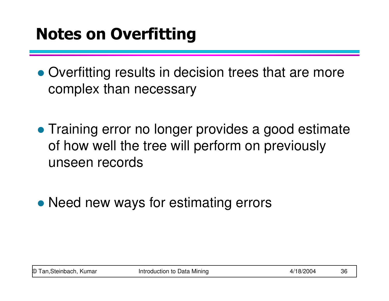## Notes on Overfitting

• Overfitting results in decision trees that are more complex than necessary

• Training error no longer provides a good estimate of how well the tree will perform on previously unseen records

• Need new ways for estimating errors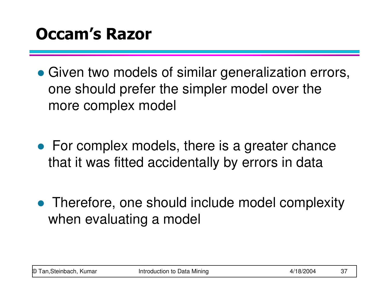- Given two models of similar generalization errors, one should prefer the simpler model over the more complex model
- For complex models, there is a greater chance that it was fitted accidentally by errors in data
- Therefore, one should include model complexity when evaluating a model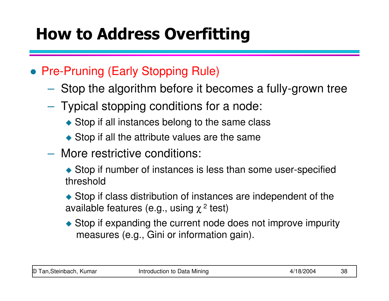### How to Address Overfitting

### **• Pre-Pruning (Early Stopping Rule)**

- $\mathcal{L}_{\mathcal{A}}$  , and the set of the set of the set of the set of the set of the set of the set of the set of the set of the set of the set of the set of the set of the set of the set of the set of the set of the set of th  $-$  Stop the algorithm before it becomes a fully-grown tree
- $-$  Typical stopping conditions for a node:
	- Stop if all instances belong to the same class
	- Stop if all the attribute values are the same
- $\mathcal{L}_{\mathcal{A}}$  , and the set of the set of the set of the set of the set of the set of the set of the set of the set of the set of the set of the set of the set of the set of the set of the set of the set of the set of th More restrictive conditions:

◆ Stop if number of instances is less than some user-specified threshold

• Stop if class distribution of instances are independent of the available features (e.g., using  $\chi$   $\!$  test)

◆ Stop if expanding the current node does not improve impurity measures (e.g., Gini or information gain).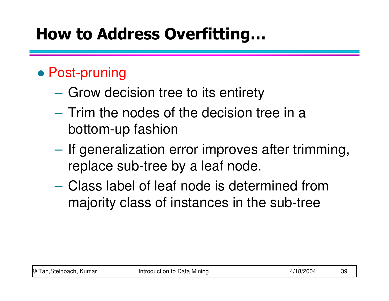### How to Address Overfitting…

### ● Post-pruning

- **Hart Committee**  $-$  Grow decision tree to its entirety
- **Hart Committee** - Trim the nodes of the decision tree in a bottom-up fashion
- **Hart Committee** - If generalization error improves after trimming, replace sub-tree by a leaf node.
- **Hart Committee**  Class label of leaf node is determined from majority class of instances in the sub-tree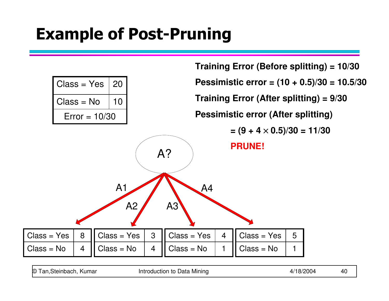### Example of Post-Pruning

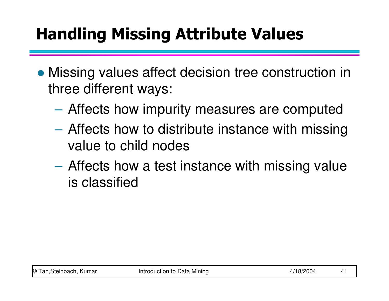## Handling Missing Attribute Values

- **Missing values affect decision tree construction in** three different ways:
	- **Hart Committee** Affects how impurity measures are computed
	- **Hart Committee** – Affects how to distribute instance with missing value to child nodes
	- **Hart Committee** – Affects how a test instance with missing value is classified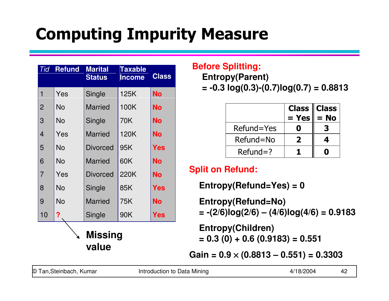# Computing Impurity Measure

| Tid            | <b>Refund</b> | <b>Marital</b><br><b>Status</b> | <b>Taxable</b><br><b>Income</b> | <b>Class</b> |
|----------------|---------------|---------------------------------|---------------------------------|--------------|
| 1              | Yes           | Single                          | 125K                            | <b>No</b>    |
| $\overline{2}$ | No            | <b>Married</b>                  | 100K                            | <b>No</b>    |
| 3              | No            | Single                          | 70K                             | <b>No</b>    |
| 4              | Yes           | <b>Married</b>                  | 120K                            | <b>No</b>    |
| 5              | <b>No</b>     | <b>Divorced</b>                 | 95K                             | Yes          |
| 6              | <b>No</b>     | <b>Married</b>                  | 60K                             | <b>No</b>    |
| $\overline{7}$ | Yes           | <b>Divorced</b>                 | 220K                            | <b>No</b>    |
| 8              | No            | Single                          | 85K                             | <b>Yes</b>   |
| 9              | No            | <b>Married</b>                  | 75K                             | <b>No</b>    |
| 10             | ?             | Single                          | 90K                             | Yes          |
|                |               | <b>Missing</b><br>value         |                                 |              |

#### **Before Splitting:**

**Entropy(Parent)** 

**= -0.3 log(0.3)-(0.7)log(0.7) = 0.8813**

|              | $=$ Yes $\ $ | Class $\ $ Class<br>$= No$ |
|--------------|--------------|----------------------------|
| Refund=Yes   |              |                            |
| Refund=No    |              |                            |
| $Refund = ?$ |              |                            |

#### **Split on Refund:**

**Entropy(Refund=Yes) = 0**

**Entropy(Refund=No) = -(2/6)log(2/6) – (4/6)log(4/6) = 0.9183**

**Entropy(Children) = 0.3 (0) + 0.6 (0.9183) = 0.551**

**Gain = 0.9** × **(0.8813 – 0.551) = 0.3303**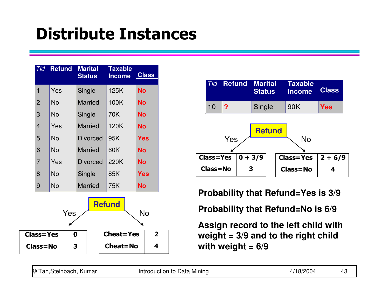### Distribute Instances

| Tid              | <b>Refund</b> |     | <b>Marital</b><br><b>Status</b> | <b>Taxable</b><br><b>Income</b> | <b>Class</b> |              |
|------------------|---------------|-----|---------------------------------|---------------------------------|--------------|--------------|
| 1                | Yes           |     | Single                          | 125K                            | <b>No</b>    |              |
| $\overline{2}$   | <b>No</b>     |     | <b>Married</b>                  | 100K                            | <b>No</b>    |              |
| 3                | No            |     | Single                          | 70K                             | <b>No</b>    |              |
| 4                | Yes           |     | <b>Married</b>                  | 120K                            | <b>No</b>    |              |
| 5                | <b>No</b>     |     | <b>Divorced</b>                 | 95K                             | Yes          |              |
| 6                | No            |     | <b>Married</b>                  | 60K                             | <b>No</b>    |              |
| $\overline{7}$   | Yes           |     | <b>Divorced</b>                 | 220K                            | <b>No</b>    |              |
| 8                | <b>No</b>     |     | Single                          | 85K                             | Yes          |              |
| 9                | No            |     | <b>Married</b>                  | 75K                             | <b>No</b>    |              |
|                  |               | Yes |                                 | <b>Refund</b>                   | No           |              |
| <b>Class=Yes</b> |               | 0   |                                 | <b>Cheat=Yes</b>                |              | $\mathbf{2}$ |
| <b>Class=No</b>  |               | 3   |                                 | <b>Cheat=No</b>                 |              | 4            |



**Probability that Refund=Yes is 3/9**

**Probability that Refund=No is 6/9**

**Assign record to the left child with weight = 3/9 and to the right child with weight = 6/9**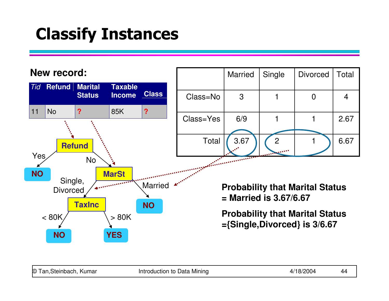### Classify Instances

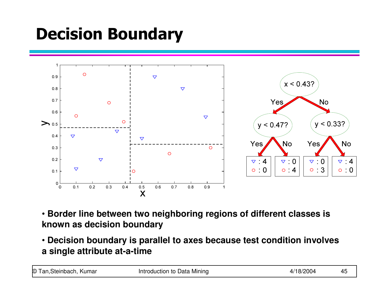## Decision Boundary



- **Border line between two neighboring regions of different classes is known as decision boundary**
- **Decision boundary is parallel to axes because test condition involves a single attribute at-a-time**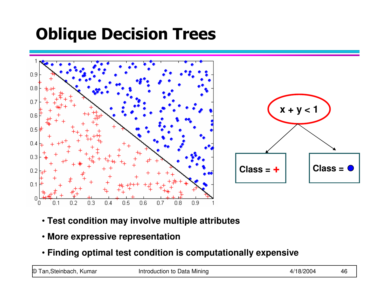## Oblique Decision Trees



- **Test condition may involve multiple attributes**
- **More expressive representation**
- **Finding optimal test condition is computationally expensive**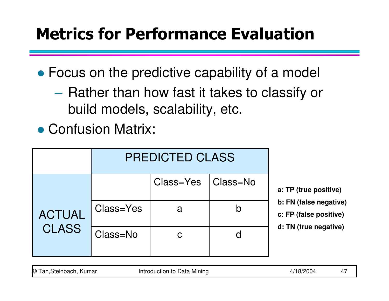## Metrics for Performance Evaluation

Focus on the predictive capability of a model

**Hart Committee** - Rather than how fast it takes to classify or build models, scalability, etc.

● Confusion Matrix:

|               | <b>PREDICTED CLASS</b> |                      |  |                          |  |
|---------------|------------------------|----------------------|--|--------------------------|--|
|               |                        | Class=Yes   Class=No |  | a: TP (1                 |  |
| <b>ACTUAL</b> | Class=Yes              | a                    |  | b: FN(<br>$c$ : FP $(1)$ |  |
| <b>CLASS</b>  | Class=No               | $\mathbf C$          |  | $d$ : TN $($             |  |

**a: TP (true positive)**

- false negative)
- false positive)
- **d: TN (true negative)**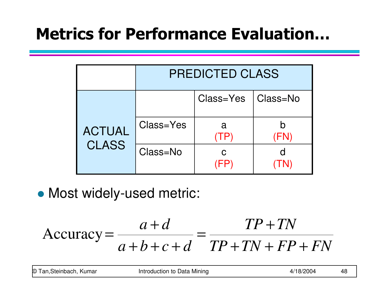### Metrics for Performance Evaluation…

|               | <b>PREDICTED CLASS</b> |                      |     |  |
|---------------|------------------------|----------------------|-----|--|
|               |                        | Class=Yes   Class=No |     |  |
| <b>ACTUAL</b> | Class=Yes              | a                    | FN) |  |
| <b>CLASS</b>  | Class=No               | C                    |     |  |

Most widely-used metric:

$$
Accuracy = \frac{a+d}{a+b+c+d} = \frac{TP + TN}{TP + TN + FP + FN}
$$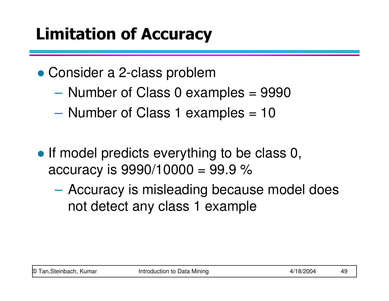## Limitation of Accuracy

- Consider a 2-class problem
	- **Hart Committee** Number of Class 0 examples = 9990
	- **Hart Committee** - Number of Class 1 examples = 10
- If model predicts everything to be class 0, accuracy is  $9990/10000 = 99.9 \%$ 
	- Accuracy is mislaading haca Accuracy is misleading because model does not detect any class 1 example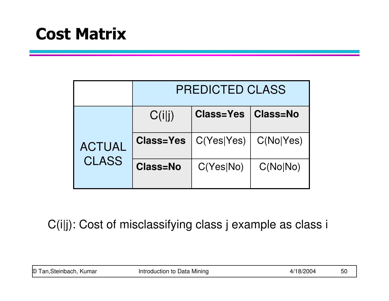### Cost Matrix

|               | <b>PREDICTED CLASS</b> |                  |           |  |
|---------------|------------------------|------------------|-----------|--|
|               | C(i i)                 | <b>Class=Yes</b> | Class=No  |  |
| <b>ACTUAL</b> | <b>Class=Yes</b>       | C(Yes Yes)       | C(No Yes) |  |
| <b>CLASS</b>  | <b>Class=No</b>        | C(Yes No)        | C(No No)  |  |

C(i|j): Cost of misclassifying class j example as class i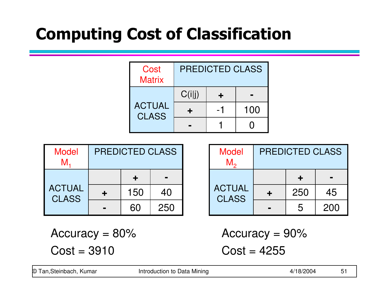## Computing Cost of Classification

| Cost<br><b>Matrix</b>         | PREDICTED CLASS |  |     |
|-------------------------------|-----------------|--|-----|
|                               | C(i i)          |  |     |
| <b>ACTUAL</b><br><b>CLASS</b> | ٠               |  | 100 |
|                               |                 |  |     |

| <b>Model</b><br>M             | <b>PREDICTED CLASS</b> |     | <b>Model</b><br>$M_{\circ}$ | <b>PREDICTED CLASS</b>        |   |     |     |
|-------------------------------|------------------------|-----|-----------------------------|-------------------------------|---|-----|-----|
|                               |                        |     | $\blacksquare$              |                               |   |     |     |
| <b>ACTUAL</b><br><b>CLASS</b> |                        | 150 | 40                          | <b>ACTUAL</b><br><b>CLASS</b> |   | 250 | 45  |
|                               | $\blacksquare$         | 60  | 250                         |                               | m | 5   | 200 |

Accuracy  $= 80\%$  $Cost = 3910$ 

Accuracy = 90% $Cost = 4255$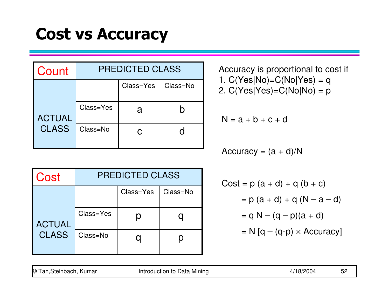### Cost vs Accuracy

| Count         | <b>PREDICTED CLASS</b> |           |          |  |
|---------------|------------------------|-----------|----------|--|
|               |                        | Class=Yes | Class=No |  |
| <b>ACTUAL</b> | Class=Yes              | a         | h        |  |
| <b>CLASS</b>  | Class=No               |           |          |  |

| Cost          | <b>PREDICTED CLASS</b> |           |          |  |
|---------------|------------------------|-----------|----------|--|
|               |                        | Class=Yes | Class=No |  |
| <b>ACTUAL</b> | Class=Yes              |           |          |  |
| <b>CLASS</b>  | Class=No               |           |          |  |

Accuracy is proportional to cost if1.  $C(Yes|No) = C(No|Yes) = q$ 2. C(Yes|Yes)=C(No|No) = p

$$
N = a + b + c + d
$$

Accuracy =  $(a + d)/N$ 

Cost = p (a + d) + q (b + c)= p (a + d) + q (N – a – d)= q N – (q – p)(a + d)= N [q – (q-p) ×Accuracy]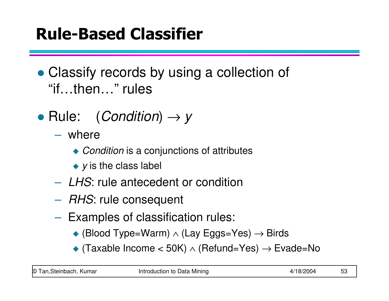### Rule-Based Classifier

- Classify records by using a collection of "if…then…" rules
- Rule:  $(Condition) \rightarrow y$ 
	- $\mathcal{L}_{\mathcal{A}}$  , and the set of the set of the set of the set of the set of the set of the set of the set of the set of the set of the set of the set of the set of the set of the set of the set of the set of the set of th where
		- ◆ *Condition* is a conjunctions of attributes
		- $\blacktriangleright$  y is the class label
	- $\mathcal{L}_{\mathcal{A}}$  , and the set of the set of the set of the set of the set of the set of the set of the set of the set of the set of the set of the set of the set of the set of the set of the set of the set of the set of th - LHS: rule antecedent or condition
	- $\mathcal{L}_{\mathcal{A}}$  , and the set of the set of the set of the set of the set of the set of the set of the set of the set of the set of the set of the set of the set of the set of the set of the set of the set of the set of th  $-$  *RHS*: rule consequent
	- – $-$  Examples of classification rules:
		- (Blood Type=Warm) ∧ (Lay Eggs=Yes) → Birds
		- $\blacklozenge$  (Taxable Income < 50K) ∧ (Refund=Yes)  $\rightarrow$  Evade=No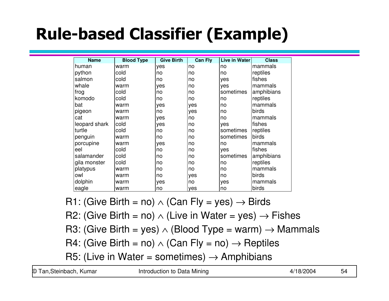# Rule-based Classifier (Example)

| <b>Name</b>   | <b>Blood Type</b> | <b>Give Birth</b> | <b>Can Fly</b> | <b>Live in Water</b> | <b>Class</b> |
|---------------|-------------------|-------------------|----------------|----------------------|--------------|
| human         | warm              | yes               | no             | no                   | mammals      |
| python        | cold              | no                | no             | no                   | reptiles     |
| salmon        | cold              | no                | no             | yes                  | fishes       |
| whale         | warm              | yes               | no             | yes                  | mammals      |
| frog          | cold              | no                | no             | sometimes            | amphibians   |
| komodo        | cold              | no                | no             | no                   | reptiles     |
| bat           | warm              | yes               | yes            | no                   | mammals      |
| pigeon        | warm              | no                | yes            | no                   | birds        |
| cat           | warm              | yes               | no             | no                   | mammals      |
| leopard shark | cold              | yes               | no             | yes                  | fishes       |
| turtle        | cold              | no                | no             | sometimes            | reptiles     |
| penguin       | warm              | no                | no             | sometimes            | birds        |
| porcupine     | warm              | yes               | no             | no                   | mammals      |
| eel           | cold              | no                | no             | yes                  | fishes       |
| salamander    | cold              | no                | no             | sometimes            | amphibians   |
| gila monster  | cold              | no                | no             | no                   | reptiles     |
| platypus      | warm              | no                | no             | no                   | mammals      |
| owl           | warm              | no                | yes            | no                   | birds        |
| dolphin       | warm              | yes               | no             | yes                  | mammals      |
| eagle         | warm              | no                | yes            | no                   | birds        |

R1: (Give Birth = no) ∧ (Can Fly = yes) → Birds

R2: (Give Birth = no) ∧ (Live in Water = yes) → Fishes<br>D3: (Give Birth = ves) → (Bleed Type = werm) → Memy

R3: (Give Birth = yes) ∧ (Blood Type = warm) → Mammals<br>D4: (Give Birth = pe) → (Gan Elv. = pe) → Bentilee R4: (Give Birth = no) ∧ (Can Fly = no) → Reptiles<br>DE: (Live in Weter = cometimes) → Amphibione

R5: (Live in Water = sometimes) → Amphibians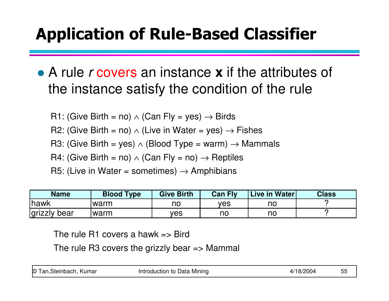# Application of Rule-Based Classifier

- A rule r covers an instance **x** if the attributes of the instance satisfy the condition of the rule
	- R1: (Give Birth = no) ∧ (Can Fly = yes) → Birds<br>PS (Si → Bi the solo dubbe that t
	- R2: (Give Birth = no) ∧ (Live in Water = yes) → Fishes<br>Pe (Ois Distherent of Charlotte Li
	- R3: (Give Birth = yes) ∧ (Blood Type = warm) → Mammals
	- R4: (Give Birth = no) ∧ (Can Fly = no) → Reptiles<br>P5: (United Words
	- R5: (Live in Water = sometimes)  $\rightarrow$  Amphibians

| <b>Ihawk</b><br>ves<br>warm<br>no | no |
|-----------------------------------|----|
| grizzly bear<br>warm<br>ves<br>no | no |

The rule R1 covers a hawk  $\Rightarrow$  Bird

The rule R3 covers the grizzly bear  $\Rightarrow$  Mammal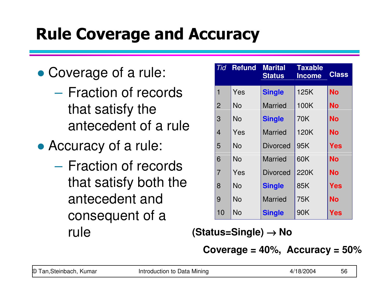## Rule Coverage and Accuracy

- Coverage of a rule:
	- **Hart Committee** - Fraction of records that satisfy the antecedent of a rule
- Accuracy of a rule:
	- **Hart Committee** - Fraction of records that satisfy both the antecedent and consequent of a rule

|                | <b>Tid Refund</b> | <b>Marital</b><br><b>Status</b> | <b>Taxable</b><br><b>Income</b> | <b>Class</b> |
|----------------|-------------------|---------------------------------|---------------------------------|--------------|
| $\mathbf 1$    | Yes               | <b>Single</b>                   | 125K                            | No           |
| $\overline{2}$ | No                | <b>Married</b>                  | 100K                            | No           |
| 3              | <b>No</b>         | <b>Single</b>                   | 70K                             | No           |
| 4              | Yes               | <b>Married</b>                  | 120K                            | <b>No</b>    |
| 5              | No                | <b>Divorced</b>                 | 95K                             | Yes          |
| 6              | <b>No</b>         | <b>Married</b>                  | 60K                             | No           |
| $\overline{7}$ | Yes               | <b>Divorced</b>                 | 220K                            | No           |
| 8              | No                | <b>Single</b>                   | 85K                             | Yes          |
| 9              | No                | <b>Married</b>                  | 75K                             | <b>No</b>    |
| 10             | No                | <b>Single</b>                   | 90K                             | Yes          |

**(Status=Single)** → **No**

**Coverage = 40%, Accuracy = 50%**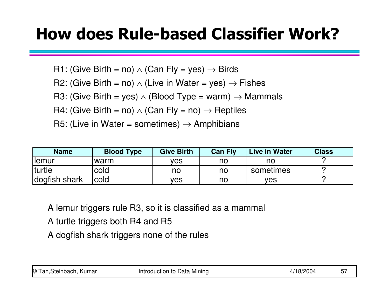### How does Rule-based Classifier Work?

R1: (Give Birth = no) ∧ (Can Fly = yes) → Birds<br>PS (Ois Bisthere) and the Matrice N

R2: (Give Birth = no) ∧ (Live in Water = yes) → Fishes<br>Pe (Ois Distherent of Charlotte Li

R3: (Give Birth = yes) ∧ (Blood Type = warm) → Mammals

R4: (Give Birth = no) ∧ (Can Fly = no) → Reptiles<br>P5: (United Words

R5: (Live in Water = sometimes)  $\rightarrow$  Amphibians

| <b>Name</b>    | <b>Blood Type</b> | <b>Give Birth</b> | <b>Can Fly</b> | Live in Water | <b>Class</b> |
|----------------|-------------------|-------------------|----------------|---------------|--------------|
| <b>I</b> lemur | 'warm             | ves               | no             | no            |              |
| <b>Iturtle</b> | cold              | no                | no             | sometimes     |              |
| dogfish shark  | <b>cold</b>       | ves               | no             | ves           |              |

A lemur triggers rule R3, so it is classified as a mammal

- A turtle triggers both R4 and R5
- A dogfish shark triggers none of the rules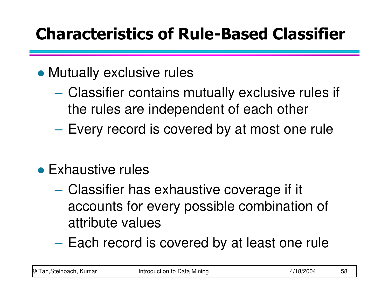## Characteristics of Rule-Based Classifier

## Mutually exclusive rules

- **Hart Committee** – Classifier contains mutually exclusive rules if the rules are independent of each other
- **Hart Committee**  $-$  Every record is covered by at most one rule
- Exhaustive rules
	- **Hart Committee** - Classifier has exhaustive coverage if it accounts for every possible combination of attribute values
	- **Hart Committee**  $-$  Each record is covered by at least one rule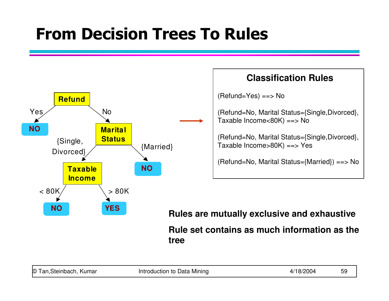### From Decision Trees To Rules



#### **Classification Rules**

(Refund=Yes) ==> No

(Refund=No, Marital Status={Single,Divorced},Taxable Income<80K) ==> No

(Refund=No, Marital Status={Single,Divorced},Taxable Income>80K) ==> Yes

(Refund=No, Marital Status={Married}) ==> No

**Rules are mutually exclusive and exhaustiveRule set contains as much information as the tree**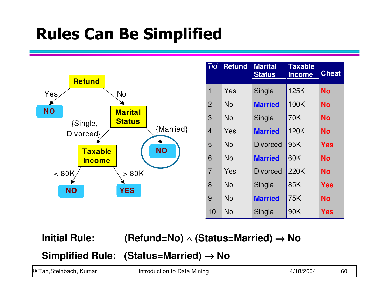### Rules Can Be Simplified



## **Initial Rule: (Refund=No)** ∧ **(Status=Married)** <sup>→</sup> **No**

|                         | Simplified Rule: (Status=Married) $\rightarrow$ No |           |    |
|-------------------------|----------------------------------------------------|-----------|----|
| © Tan, Steinbach, Kumar | Introduction to Data Mining                        | 4/18/2004 | 60 |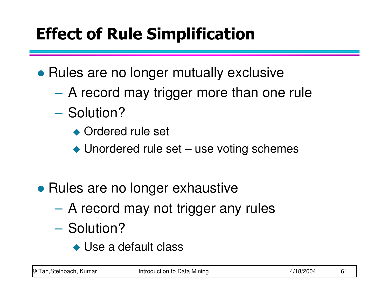# Effect of Rule Simplification

• Rules are no longer mutually exclusive

- **Hart Committee** A record may trigger more than one rule
- **Hart Committee** - Solution?
	- ◆ Ordered rule set
	- ◆ Unordered rule set use voting schemes
- Rules are no longer exhaustive
	- **Hart Committee** A record may not trigger any rules
	- **Hart Committee** - Solution?
		- ◆ Use a default class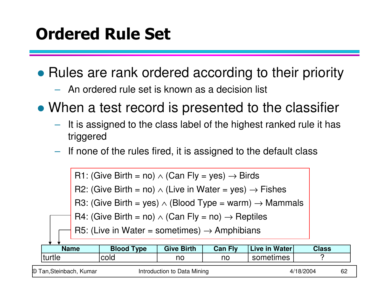### Ordered Rule Set

• Rules are rank ordered according to their priority

- $\mathcal{L}_{\mathcal{A}}$  , and the set of the set of the set of the set of the set of the set of the set of the set of the set of the set of the set of the set of the set of the set of the set of the set of the set of the set of th  $-$  An ordered rule set is known as a decision list
- When a test record is presented to the classifier
	- $\mathcal{L}_{\mathcal{A}}$  , and the set of the set of the set of the set of the set of the set of the set of the set of the set of the set of the set of the set of the set of the set of the set of the set of the set of the set of th It is assigned to the class label of the highest ranked rule it has triggered
	- $\mathcal{L}_{\mathcal{A}}$  , and the set of the set of the set of the set of the set of the set of the set of the set of the set of the set of the set of the set of the set of the set of the set of the set of the set of the set of th If none of the rules fired, it is assigned to the default class

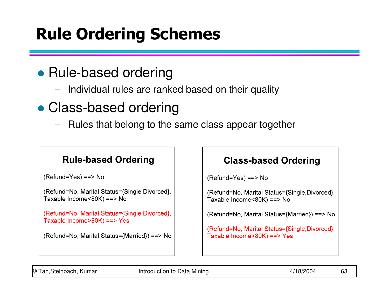## Rule Ordering Schemes

### • Rule-based ordering

 $\mathcal{L}_{\mathcal{A}}$  , and the set of the set of the set of the set of the set of the set of the set of the set of the set of the set of the set of the set of the set of the set of the set of the set of the set of the set of th Individual rules are ranked based on their quality

## Class-based ordering

 $\mathcal{L}_{\mathcal{A}}$  , and the set of the set of the set of the set of the set of the set of the set of the set of the set of the set of the set of the set of the set of the set of the set of the set of the set of the set of th Rules that belong to the same class appear together

#### **Rule-based Ordering**

 $(Refund = Yes) == > No$ 

```
(Refund=No, Marital Status={Single, Divorced},
Taxable Income<80K) ==> No
```

```
(Refund=No, Marital Status={Single, Divorced},
Taxable Income>80K) ==> Yes
```

```
(Refund=No, Marital Status={Married}) ==> No
```
#### **Class-based Ordering**

 $(Refund = Yes) == > No$ 

(Refund=No, Marital Status={Single, Divorced}, Taxable Income<80K) ==> No

(Refund=No, Marital Status={Married}) ==> No

(Refund=No, Marital Status={Single, Divorced}, Taxable Income>80K) ==> Yes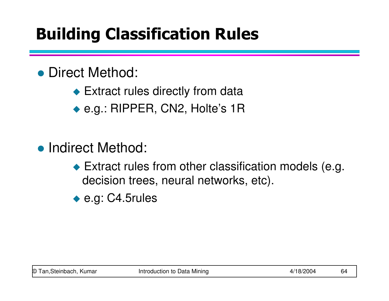## Building Classification Rules

### ● Direct Method:

- ◆ Extract rules directly from data
- ◆ e.g.: RIPPER, CN2, Holte's 1R
- Indirect Method:
	- ◆ Extract rules from other classification models (e.g. decision trees, neural networks, etc).
	- ◆ e.g: C4.5rules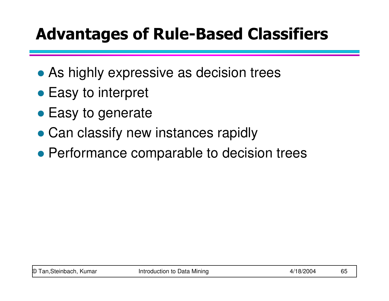### Advantages of Rule-Based Classifiers

- As highly expressive as decision trees
- Easy to interpret
- Easy to generate
- Can classify new instances rapidly
- Performance comparable to decision trees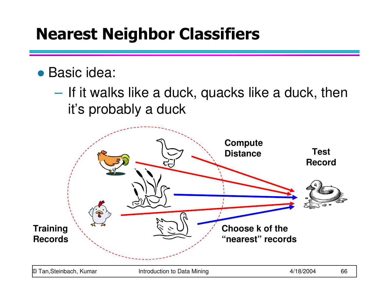### Nearest Neighbor Classifiers

### Basic idea:

**Hart Committee** - If it walks like a duck, quacks like a duck, then it's probably a duck

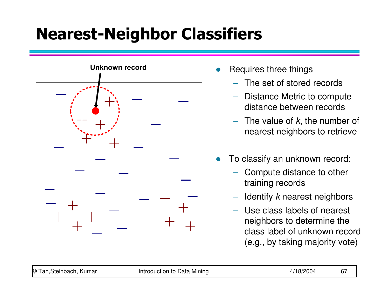## Nearest-Neighbor Classifiers



- $\bullet$  Requires three things
	- The set of stored records
	- Distance Metric to compute distance between records
	- $-$  The value of  $k$ , the number of nearest neighbors to retrieve
- $\bullet$  To classify an unknown record:
	- Compute distance to other training records
	- $-$  Identify  $k$  nearest neighbors
	- Use class labels of nearest neighbors to determine the class label of unknown record (e.g., by taking majority vote)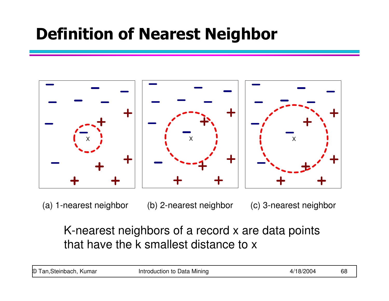### Definition of Nearest Neighbor



(a) 1-nearest neighbor (b) 2-nearest neighbor (c) 3-nearest neighbor

### K-nearest neighbors of a record x are data points that have the k smallest distance to x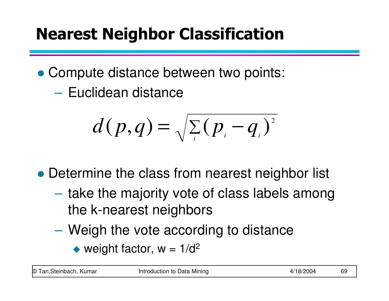## Nearest Neighbor Classification

- Compute distance between two points:
	- **Hart Committee** – Euclidean distance

$$
d(p,q) = \sqrt{\sum_i (p_i - q_i)^2}
$$

- Determine the class from nearest neighbor list
	- **Hart Committee** - take the majority vote of class labels among the k-nearest neighbors
	- **Hart Committee**  Weigh the vote according to distance
		- weight factor,  $w = 1/d^2$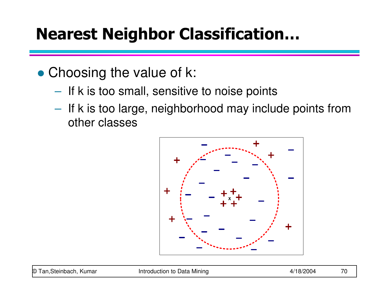### Nearest Neighbor Classification…

- Choosing the value of k:
	- $\mathcal{L}_{\mathcal{A}}$  , and the set of the set of the set of the set of the set of the set of the set of the set of the set of the set of the set of the set of the set of the set of the set of the set of the set of the set of th  $-$  If k is too small, sensitive to noise points
	- $\mathcal{L}_{\mathcal{A}}$  $-$  If k is too large, neighborhood may include points from other classes

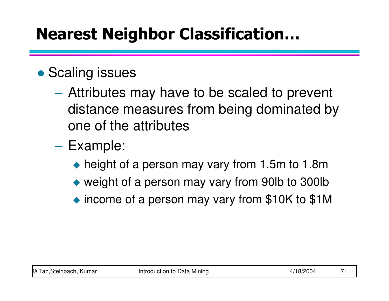### Nearest Neighbor Classification…

### **• Scaling issues**

- **Hart Committee** - Attributes may have to be scaled to prevent distance measures from being dominated by one of the attributes
- **Hart Committee**  Example:
	- ◆ height of a person may vary from 1.5m to 1.8m
	- weight of a person may vary from 90lb to 300lb
	- ◆ income of a person may vary from \$10K to \$1M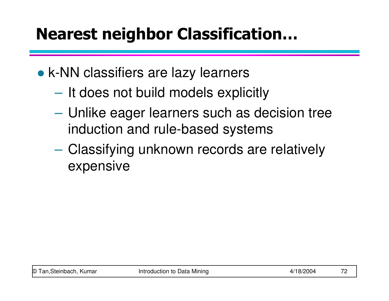### Nearest neighbor Classification…

- k-NN classifiers are lazy learners
	- **Hart Committee**  $-$  It does not build models explicitly
	- **Hart Committee**  Unlike eager learners such as decision tree induction and rule-based systems
	- **Hart Committee**  Classifying unknown records are relatively expensive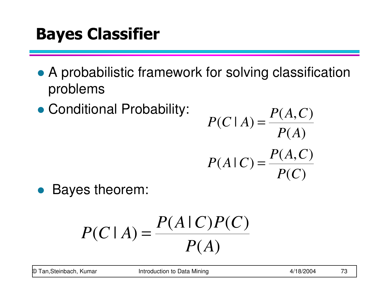### Bayes Classifier

- A probabilistic framework for solving classification problems
- Conditional Probability:

$$
P(C \mid A) = \frac{P(A, C)}{P(A)}
$$

$$
P(A \mid C) = \frac{P(A, C)}{P(C)}
$$

• Bayes theorem:

$$
P(C|A) = \frac{P(A|C)P(C)}{P(A)}
$$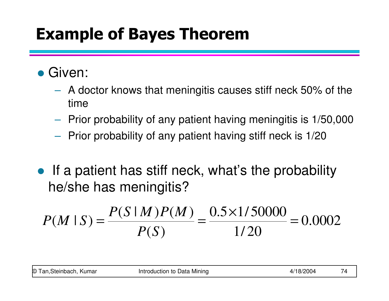### Example of Bayes Theorem

- Given:
	- A doctor knows that meningitis causes stiff neck 50% of the time
	- $-$  Prior probability of any patient having meningitis is 1/50,000
	- $-$  Prior probability of any patient having stiff neck is 1/20
- $\bullet$  If a patient has stiff neck, what's the probability he/she has meningitis?

$$
P(M \mid S) = \frac{P(S \mid M)P(M)}{P(S)} = \frac{0.5 \times 1/50000}{1/20} = 0.0002
$$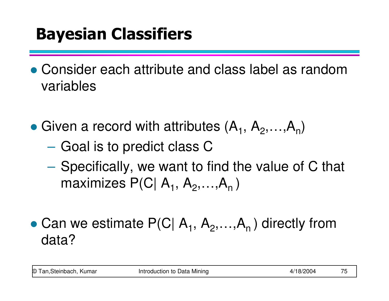# Bayesian Classifiers

- Consider each attribute and class label as random variables
- Given a record with attributes  $(A_1, A_2, ..., A_n)$ 
	- $\mathcal{L}_{\mathcal{A}}$  , and the set of the set of the set of the set of the set of the set of the set of the set of the set of the set of the set of the set of the set of the set of the set of the set of the set of the set of th  $-$  Goal is to predict class  ${\mathsf C}$
	- $\mathcal{L}_{\mathcal{A}}$ - Specifically, we want to find the value of C that maximizes P(C| A<sub>1</sub>, A<sub>2</sub>,...,A<sub>n</sub> )
- Can we estimate  $P(C \mid A_1, A_2, ..., A_n)$  directly from data?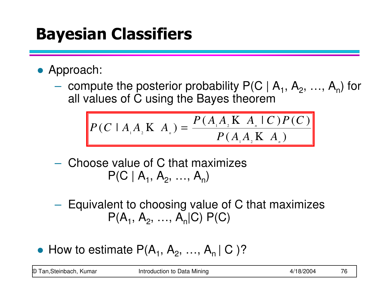# Bayesian Classifiers

- Approach:
	- $\mathcal{L}_{\mathcal{A}}$ - compute the posterior probability  $P(C | A_1, A_2, ..., A_n)$  for all values of C using the Bayes theorem

$$
P(C \mid A_{1} A_{2} \mid K \mid A_{n}) = \frac{P(A_{1} A_{2} \mid K \mid A_{n} \mid C) P(C)}{P(A_{1} A_{2} \mid K \mid A_{n})}
$$

- $\mathcal{L}_{\mathcal{A}}$  , and the set of  $\mathcal{L}_{\mathcal{A}}$ - Choose value of C that maximizes  $\mathsf{P}(\mathsf{C} \mid \mathsf{A}_1, \, \mathsf{A}_2, \, ..., \, \mathsf{A}_\mathsf{n})$
- –- Equivalent to choosing value of C that maximizes  $\mathsf{P}(\mathsf{A}_1,\, \mathsf{A}_2,\, ...,\, \mathsf{A}_\mathsf{n}|\mathsf{C})\;\mathsf{P}(\mathsf{C})$
- How to estimate  $P(A_1, A_2, ..., A_n | C)$ ?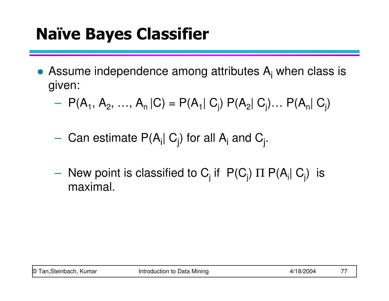### Naïve Bayes Classifier

- Assume independence among attributes  $A_i$  when class is given:
	- $\mathcal{L}_{\mathcal{A}}$  $P(A_1, A_2, ..., A_n | C) = P(A_1 | C_j) P(A_2 | C_j) ... P(A_n | C_j)$
	- – $-$  Can estimate P(A<sub>i</sub>| C<sub>j</sub>) for all A<sub>i</sub> and C<sub>j</sub> .
	- $\mathcal{L}_{\mathcal{A}}$ – New point is classified to  $C_j$  if  $P(C_j)$   $\Pi P(A_i | C_j)$  is meximal maximal.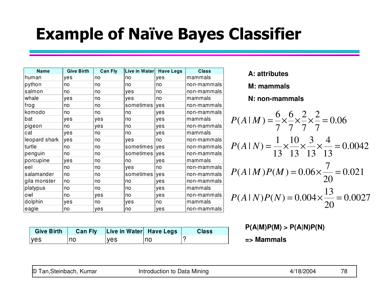### Example of Naïve Bayes Classifier

| <b>Name</b>   | <b>Give Birth</b> | <b>Can Fly</b> | Live in Water | <b>Have Legs</b> | <b>Class</b> |
|---------------|-------------------|----------------|---------------|------------------|--------------|
| human         | yes               | no             | no            | yes              | mammals      |
| python        | no                | no             | no            | no               | non-mammals  |
| salmon        | no                | no             | yes           | no               | non-mammals  |
| whale         | yes               | no             | yes           | no               | mammals      |
| frog          | no                | no             | sometimes     | yes              | non-mammals  |
| komodo        | no                | no             | no            | yes              | non-mammals  |
| bat           | yes               | yes            | no            | yes              | mammals      |
| pigeon        | no                | yes            | no            | yes              | non-mammals  |
| cat           | yes               | no             | no            | yes              | mammals      |
| leopard shark | yes               | no             | yes           | no               | non-mammals  |
| turtle        | no                | no             | sometimes yes |                  | non-mammals  |
| penguin       | no                | no             | sometimes ves |                  | non-mammals  |
| porcupine     | yes               | no             | no            | yes              | mammals      |
| eel           | no                | no             | yes           | no               | non-mammals  |
| salamander    | no                | no             | sometimes     | yes              | non-mammals  |
| gila monster  | no                | no             | no            | yes              | non-mammals  |
| platypus      | no                | no             | no            | yes              | mammals      |
| owl           | no                | yes            | no            | yes              | non-mammals  |
| dolphin       | yes               | no             | yes           | no               | mammals      |
| eagle         | no                | yes            | no            | yes              | non-mammals  |

**Give Birth Can Fly Live in Water Have Legs Class**

yes |no |yes |no |?

**A: attributes**

**M: mammals**

**N: non-mammals**

$$
P(A|M) = \frac{6}{7} \times \frac{6}{7} \times \frac{2}{7} \times \frac{2}{7} = 0.06
$$
  

$$
P(A|N) = \frac{1}{13} \times \frac{10}{13} \times \frac{3}{13} \times \frac{4}{13} = 0.0042
$$
  

$$
P(A|M)P(M) = 0.06 \times \frac{7}{20} = 0.021
$$
  

$$
P(A|N)P(N) = 0.004 \times \frac{13}{20} = 0.0027
$$

**P(A|M)P(M) > P(A|N)P(N)**

**=> Mammals**

© Tan,Steinbach, Kumar Introduction to Data Mining 4/18/2004 78